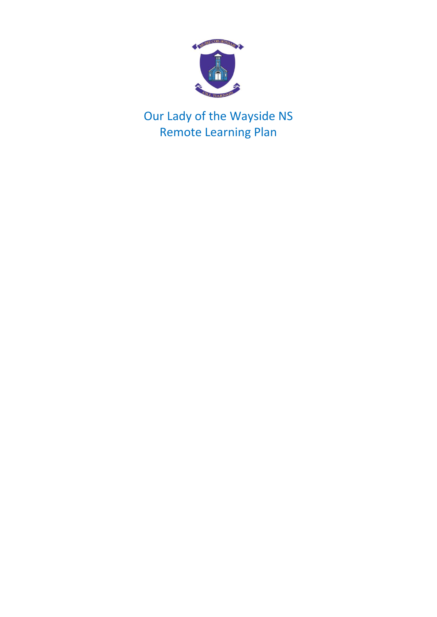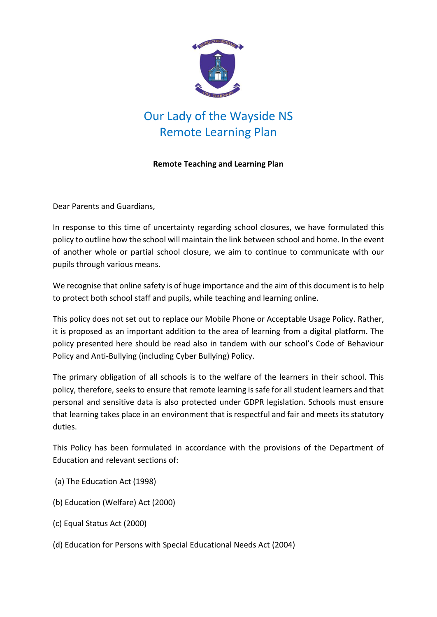

### **Remote Teaching and Learning Plan**

Dear Parents and Guardians,

In response to this time of uncertainty regarding school closures, we have formulated this policy to outline how the school will maintain the link between school and home. In the event of another whole or partial school closure, we aim to continue to communicate with our pupils through various means.

We recognise that online safety is of huge importance and the aim of this document is to help to protect both school staff and pupils, while teaching and learning online.

This policy does not set out to replace our Mobile Phone or Acceptable Usage Policy. Rather, it is proposed as an important addition to the area of learning from a digital platform. The policy presented here should be read also in tandem with our school's Code of Behaviour Policy and Anti-Bullying (including Cyber Bullying) Policy.

The primary obligation of all schools is to the welfare of the learners in their school. This policy, therefore, seeks to ensure that remote learning is safe for all student learners and that personal and sensitive data is also protected under GDPR legislation. Schools must ensure that learning takes place in an environment that is respectful and fair and meets its statutory duties.

This Policy has been formulated in accordance with the provisions of the Department of Education and relevant sections of:

- (a) The Education Act (1998)
- (b) Education (Welfare) Act (2000)
- (c) Equal Status Act (2000)
- (d) Education for Persons with Special Educational Needs Act (2004)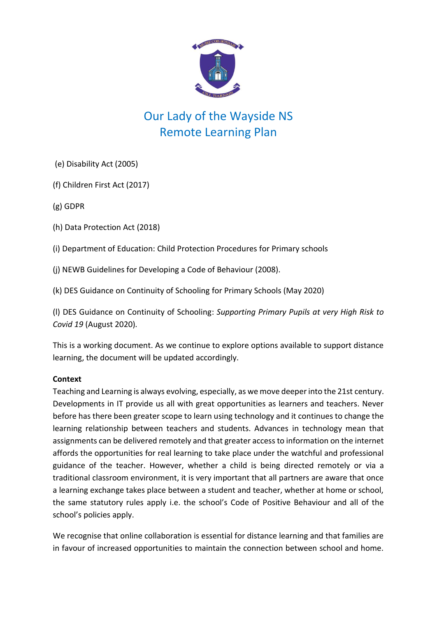

(e) Disability Act (2005)

(f) Children First Act (2017)

(g) GDPR

(h) Data Protection Act (2018)

(i) Department of Education: Child Protection Procedures for Primary schools

(j) NEWB Guidelines for Developing a Code of Behaviour (2008).

(k) DES Guidance on Continuity of Schooling for Primary Schools (May 2020)

(l) DES Guidance on Continuity of Schooling: *Supporting Primary Pupils at very High Risk to Covid 19* (August 2020)*.*

This is a working document. As we continue to explore options available to support distance learning, the document will be updated accordingly.

### **Context**

Teaching and Learning is always evolving, especially, as we move deeper into the 21st century. Developments in IT provide us all with great opportunities as learners and teachers. Never before has there been greater scope to learn using technology and it continues to change the learning relationship between teachers and students. Advances in technology mean that assignments can be delivered remotely and that greater access to information on the internet affords the opportunities for real learning to take place under the watchful and professional guidance of the teacher. However, whether a child is being directed remotely or via a traditional classroom environment, it is very important that all partners are aware that once a learning exchange takes place between a student and teacher, whether at home or school, the same statutory rules apply i.e. the school's Code of Positive Behaviour and all of the school's policies apply.

We recognise that online collaboration is essential for distance learning and that families are in favour of increased opportunities to maintain the connection between school and home.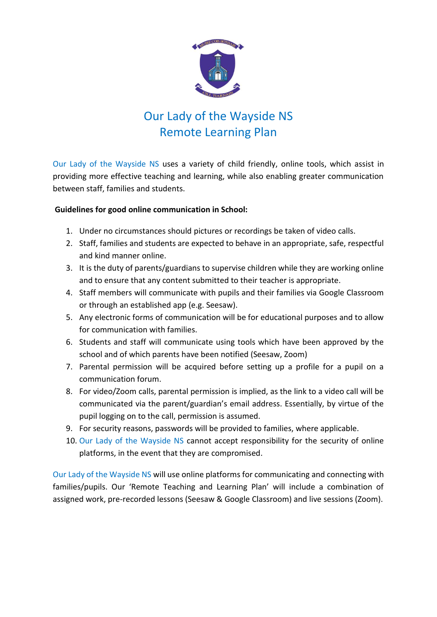

Our Lady of the Wayside NS uses a variety of child friendly, online tools, which assist in providing more effective teaching and learning, while also enabling greater communication between staff, families and students.

### **Guidelines for good online communication in School:**

- 1. Under no circumstances should pictures or recordings be taken of video calls.
- 2. Staff, families and students are expected to behave in an appropriate, safe, respectful and kind manner online.
- 3. It is the duty of parents/guardians to supervise children while they are working online and to ensure that any content submitted to their teacher is appropriate.
- 4. Staff members will communicate with pupils and their families via Google Classroom or through an established app (e.g. Seesaw).
- 5. Any electronic forms of communication will be for educational purposes and to allow for communication with families.
- 6. Students and staff will communicate using tools which have been approved by the school and of which parents have been notified (Seesaw, Zoom)
- 7. Parental permission will be acquired before setting up a profile for a pupil on a communication forum.
- 8. For video/Zoom calls, parental permission is implied, as the link to a video call will be communicated via the parent/guardian's email address. Essentially, by virtue of the pupil logging on to the call, permission is assumed.
- 9. For security reasons, passwords will be provided to families, where applicable.
- 10. Our Lady of the Wayside NS cannot accept responsibility for the security of online platforms, in the event that they are compromised.

Our Lady of the Wayside NS will use online platforms for communicating and connecting with families/pupils. Our 'Remote Teaching and Learning Plan' will include a combination of assigned work, pre-recorded lessons (Seesaw & Google Classroom) and live sessions (Zoom).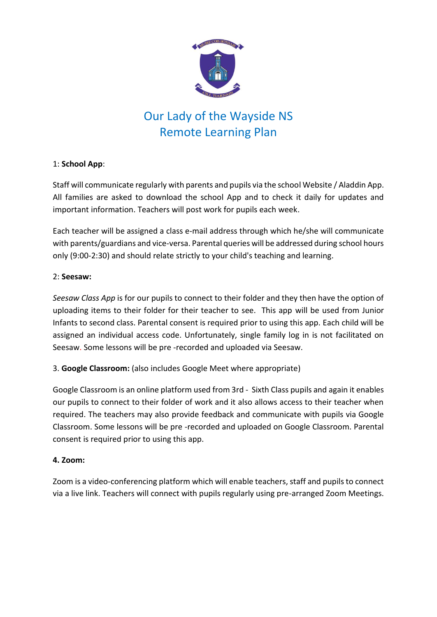

### 1: **School App**:

Staff will communicate regularly with parents and pupils via the school Website / Aladdin App. All families are asked to download the school App and to check it daily for updates and important information. Teachers will post work for pupils each week.

Each teacher will be assigned a class e-mail address through which he/she will communicate with parents/guardians and vice-versa. Parental queries will be addressed during school hours only (9:00-2:30) and should relate strictly to your child's teaching and learning.

### 2: **Seesaw:**

*Seesaw Class App* is for our pupils to connect to their folder and they then have the option of uploading items to their folder for their teacher to see. This app will be used from Junior Infants to second class. Parental consent is required prior to using this app. Each child will be assigned an individual access code. Unfortunately, single family log in is not facilitated on Seesaw. Some lessons will be pre -recorded and uploaded via Seesaw.

3. **Google Classroom:** (also includes Google Meet where appropriate)

Google Classroom is an online platform used from 3rd - Sixth Class pupils and again it enables our pupils to connect to their folder of work and it also allows access to their teacher when required. The teachers may also provide feedback and communicate with pupils via Google Classroom. Some lessons will be pre -recorded and uploaded on Google Classroom. Parental consent is required prior to using this app.

### **4. Zoom:**

Zoom is a video-conferencing platform which will enable teachers, staff and pupils to connect via a live link. Teachers will connect with pupils regularly using pre-arranged Zoom Meetings.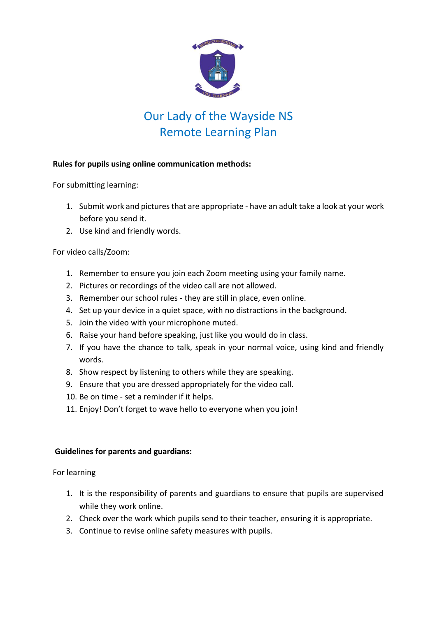

### **Rules for pupils using online communication methods:**

For submitting learning:

- 1. Submit work and pictures that are appropriate have an adult take a look at your work before you send it.
- 2. Use kind and friendly words.

### For video calls/Zoom:

- 1. Remember to ensure you join each Zoom meeting using your family name.
- 2. Pictures or recordings of the video call are not allowed.
- 3. Remember our school rules they are still in place, even online.
- 4. Set up your device in a quiet space, with no distractions in the background.
- 5. Join the video with your microphone muted.
- 6. Raise your hand before speaking, just like you would do in class.
- 7. If you have the chance to talk, speak in your normal voice, using kind and friendly words.
- 8. Show respect by listening to others while they are speaking.
- 9. Ensure that you are dressed appropriately for the video call.
- 10. Be on time set a reminder if it helps.
- 11. Enjoy! Don't forget to wave hello to everyone when you join!

### **Guidelines for parents and guardians:**

For learning

- 1. It is the responsibility of parents and guardians to ensure that pupils are supervised while they work online.
- 2. Check over the work which pupils send to their teacher, ensuring it is appropriate.
- 3. Continue to revise online safety measures with pupils.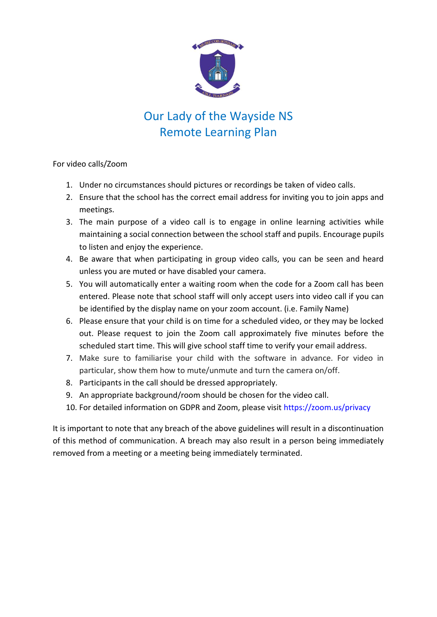

For video calls/Zoom

- 1. Under no circumstances should pictures or recordings be taken of video calls.
- 2. Ensure that the school has the correct email address for inviting you to join apps and meetings.
- 3. The main purpose of a video call is to engage in online learning activities while maintaining a social connection between the school staff and pupils. Encourage pupils to listen and enjoy the experience.
- 4. Be aware that when participating in group video calls, you can be seen and heard unless you are muted or have disabled your camera.
- 5. You will automatically enter a waiting room when the code for a Zoom call has been entered. Please note that school staff will only accept users into video call if you can be identified by the display name on your zoom account. (i.e. Family Name)
- 6. Please ensure that your child is on time for a scheduled video, or they may be locked out. Please request to join the Zoom call approximately five minutes before the scheduled start time. This will give school staff time to verify your email address.
- 7. Make sure to familiarise your child with the software in advance. For video in particular, show them how to mute/unmute and turn the camera on/off.
- 8. Participants in the call should be dressed appropriately.
- 9. An appropriate background/room should be chosen for the video call.
- 10. For detailed information on GDPR and Zoom, please visit<https://zoom.us/privacy>

It is important to note that any breach of the above guidelines will result in a discontinuation of this method of communication. A breach may also result in a person being immediately removed from a meeting or a meeting being immediately terminated.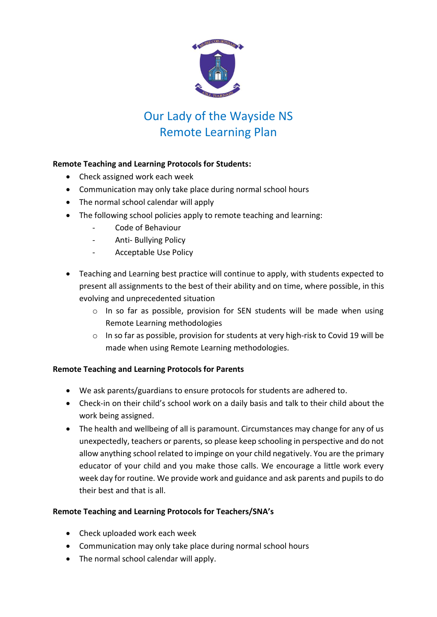

### **Remote Teaching and Learning Protocols for Students:**

- Check assigned work each week
- Communication may only take place during normal school hours
- The normal school calendar will apply
- The following school policies apply to remote teaching and learning:
	- Code of Behaviour
	- Anti- Bullying Policy
	- Acceptable Use Policy
- Teaching and Learning best practice will continue to apply, with students expected to present all assignments to the best of their ability and on time, where possible, in this evolving and unprecedented situation
	- o In so far as possible, provision for SEN students will be made when using Remote Learning methodologies
	- o In so far as possible, provision for students at very high-risk to Covid 19 will be made when using Remote Learning methodologies.

### **Remote Teaching and Learning Protocols for Parents**

- We ask parents/guardians to ensure protocols for students are adhered to.
- Check-in on their child's school work on a daily basis and talk to their child about the work being assigned.
- The health and wellbeing of all is paramount. Circumstances may change for any of us unexpectedly, teachers or parents, so please keep schooling in perspective and do not allow anything school related to impinge on your child negatively. You are the primary educator of your child and you make those calls. We encourage a little work every week day for routine. We provide work and guidance and ask parents and pupils to do their best and that is all.

### **Remote Teaching and Learning Protocols for Teachers/SNA's**

- Check uploaded work each week
- Communication may only take place during normal school hours
- The normal school calendar will apply.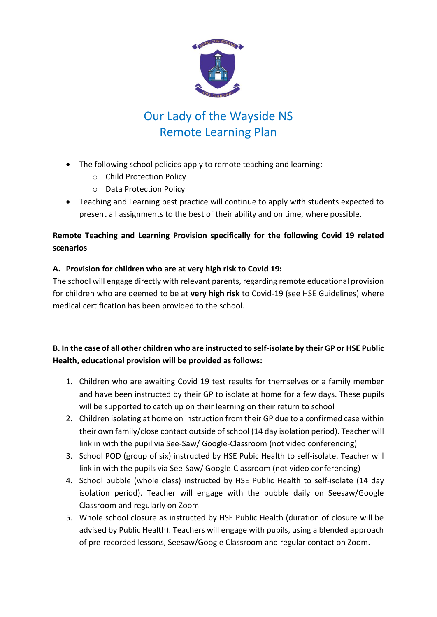

- The following school policies apply to remote teaching and learning:
	- o Child Protection Policy
	- o Data Protection Policy
- Teaching and Learning best practice will continue to apply with students expected to present all assignments to the best of their ability and on time, where possible.

## **Remote Teaching and Learning Provision specifically for the following Covid 19 related scenarios**

### **A. Provision for children who are at very high risk to Covid 19:**

The school will engage directly with relevant parents, regarding remote educational provision for children who are deemed to be at **very high risk** to Covid-19 (see HSE Guidelines) where medical certification has been provided to the school.

## **B. In the case of all other children who are instructed to self-isolate by their GP or HSE Public Health, educational provision will be provided as follows:**

- 1. Children who are awaiting Covid 19 test results for themselves or a family member and have been instructed by their GP to isolate at home for a few days. These pupils will be supported to catch up on their learning on their return to school
- 2. Children isolating at home on instruction from their GP due to a confirmed case within their own family/close contact outside of school (14 day isolation period). Teacher will link in with the pupil via See-Saw/ Google-Classroom (not video conferencing)
- 3. School POD (group of six) instructed by HSE Pubic Health to self-isolate. Teacher will link in with the pupils via See-Saw/ Google-Classroom (not video conferencing)
- 4. School bubble (whole class) instructed by HSE Public Health to self-isolate (14 day isolation period). Teacher will engage with the bubble daily on Seesaw/Google Classroom and regularly on Zoom
- 5. Whole school closure as instructed by HSE Public Health (duration of closure will be advised by Public Health). Teachers will engage with pupils, using a blended approach of pre-recorded lessons, Seesaw/Google Classroom and regular contact on Zoom.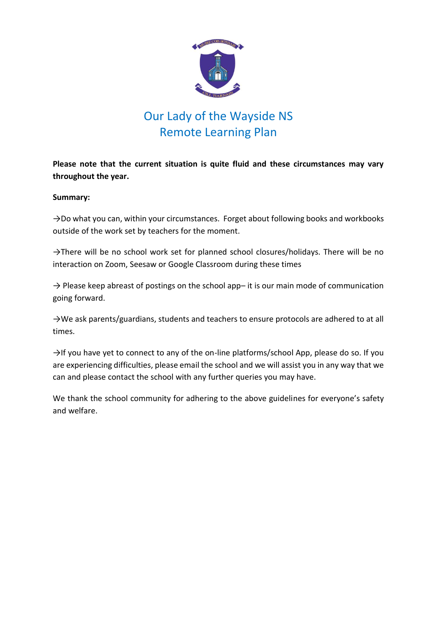

**Please note that the current situation is quite fluid and these circumstances may vary throughout the year.** 

#### **Summary:**

→Do what you can, within your circumstances. Forget about following books and workbooks outside of the work set by teachers for the moment.

→There will be no school work set for planned school closures/holidays. There will be no interaction on Zoom, Seesaw or Google Classroom during these times

 $\rightarrow$  Please keep abreast of postings on the school app– it is our main mode of communication going forward.

→We ask parents/guardians, students and teachers to ensure protocols are adhered to at all times.

→If you have yet to connect to any of the on-line platforms/school App, please do so. If you are experiencing difficulties, please email the school and we will assist you in any way that we can and please contact the school with any further queries you may have.

We thank the school community for adhering to the above guidelines for everyone's safety and welfare.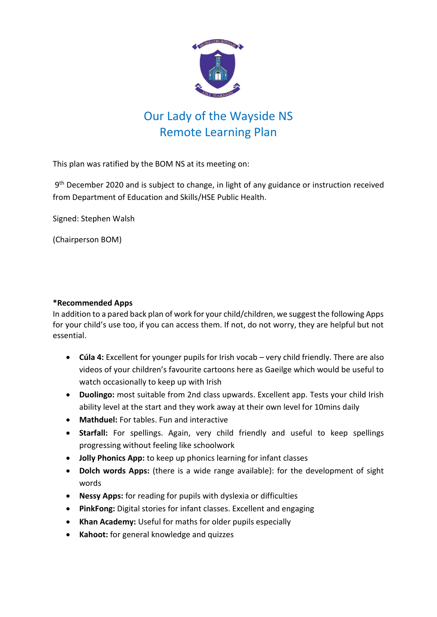

This plan was ratified by the BOM NS at its meeting on:

9<sup>th</sup> December 2020 and is subject to change, in light of any guidance or instruction received from Department of Education and Skills/HSE Public Health.

Signed: Stephen Walsh

(Chairperson BOM)

#### **\*Recommended Apps**

In addition to a pared back plan of work for your child/children, we suggest the following Apps for your child's use too, if you can access them. If not, do not worry, they are helpful but not essential.

- **Cúla 4:** Excellent for younger pupils for Irish vocab very child friendly. There are also videos of your children's favourite cartoons here as Gaeilge which would be useful to watch occasionally to keep up with Irish
- **Duolingo:** most suitable from 2nd class upwards. Excellent app. Tests your child Irish ability level at the start and they work away at their own level for 10mins daily
- **Mathduel:** For tables. Fun and interactive
- **Starfall:** For spellings. Again, very child friendly and useful to keep spellings progressing without feeling like schoolwork
- **Jolly Phonics App:** to keep up phonics learning for infant classes
- **Dolch words Apps:** (there is a wide range available): for the development of sight words
- **Nessy Apps:** for reading for pupils with dyslexia or difficulties
- **PinkFong:** Digital stories for infant classes. Excellent and engaging
- **Khan Academy:** Useful for maths for older pupils especially
- **Kahoot:** for general knowledge and quizzes